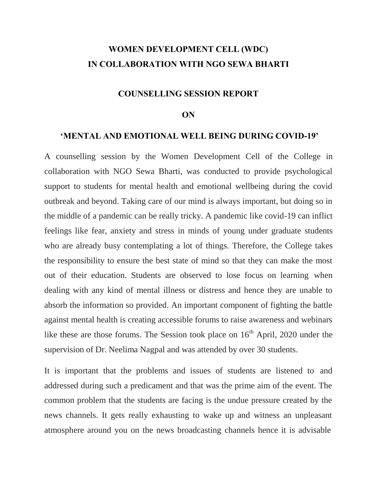### **WOMEN DEVELOPMENT CELL (WDC) IN COLLABORATION WITH NGO SEWA BHARTI**

### **COUNSELLING SESSION REPORT**

#### **ON**

### **'MENTAL AND EMOTIONAL WELL BEING DURING COVID-19'**

A counselling session by the Women Development Cell of the College in collaboration with NGO Sewa Bharti, was conducted to provide psychological support to students for mental health and emotional wellbeing during the covid outbreak and beyond. Taking care of our mind is always important, but doing so in the middle of a pandemic can be really tricky. A pandemic like covid-19 can inflict feelings like fear, anxiety and stress in minds of young under graduate students who are already busy contemplating a lot of things. Therefore, the College takes the responsibility to ensure the best state of mind so that they can make the most out of their education. Students are observed to lose focus on learning when dealing with any kind of mental illness or distress and hence they are unable to absorb the information so provided. An important component of fighting the battle against mental health is creating accessible forums to raise awareness and webinars like these are those forums. The Session took place on  $16<sup>th</sup>$  April, 2020 under the supervision of Dr. Neelima Nagpal and was attended by over 30 students.

It is important that the problems and issues of students are listened to and addressed during such a predicament and that was the prime aim of the event. The common problem that the students are facing is the undue pressure created by the news channels. It gets really exhausting to wake up and witness an unpleasant atmosphere around you on the news broadcasting channels hence it is advisable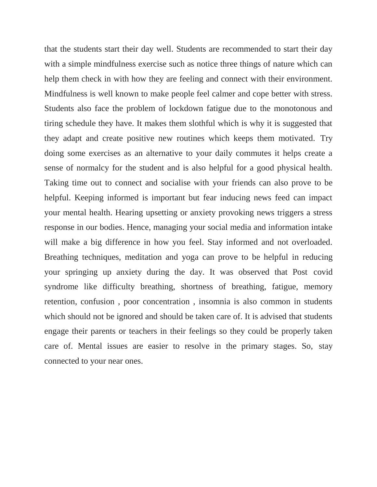that the students start their day well. Students are recommended to start their day with a simple mindfulness exercise such as notice three things of nature which can help them check in with how they are feeling and connect with their environment. Mindfulness is well known to make people feel calmer and cope better with stress. Students also face the problem of lockdown fatigue due to the monotonous and tiring schedule they have. It makes them slothful which is why it is suggested that they adapt and create positive new routines which keeps them motivated. Try doing some exercises as an alternative to your daily commutes it helps create a sense of normalcy for the student and is also helpful for a good physical health. Taking time out to connect and socialise with your friends can also prove to be helpful. Keeping informed is important but fear inducing news feed can impact your mental health. Hearing upsetting or anxiety provoking news triggers a stress response in our bodies. Hence, managing your social media and information intake will make a big difference in how you feel. Stay informed and not overloaded. Breathing techniques, meditation and yoga can prove to be helpful in reducing your springing up anxiety during the day. It was observed that Post covid syndrome like difficulty breathing, shortness of breathing, fatigue, memory retention, confusion , poor concentration , insomnia is also common in students which should not be ignored and should be taken care of. It is advised that students engage their parents or teachers in their feelings so they could be properly taken care of. Mental issues are easier to resolve in the primary stages. So, stay connected to your near ones.